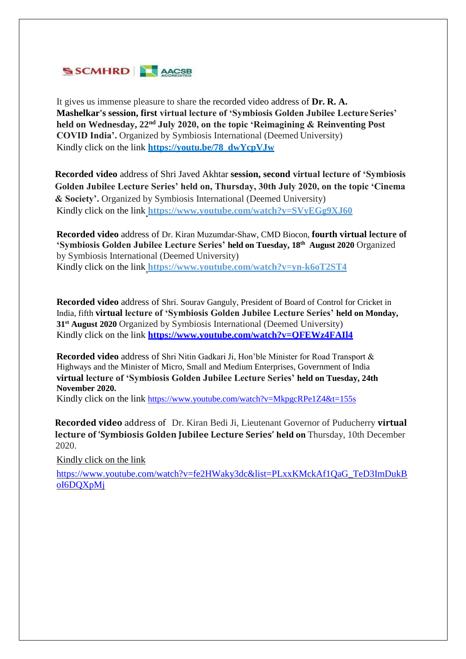

It gives us immense pleasure to share the recorded video address of **Dr. R. A. Mashelkar's session, first virtual lecture of 'Symbiosis Golden Jubilee LectureSeries' held on Wednesday, 22nd July 2020, on the topic 'Reimagining & Reinventing Post COVID India'.** Organized by Symbiosis International (Deemed University) Kindly click on the link **[https://youtu.be/78\\_dwYcpVJw](https://youtu.be/78_dwYcpVJw)**

**Recorded video** address of Shri Javed Akhtar **session, second virtual lecture of 'Symbiosis Golden Jubilee Lecture Series' held on, Thursday, 30th July 2020, on the topic 'Cinema & Society'.** Organized by Symbiosis International (Deemed University) Kindly click on the link **htt[ps://www.youtube.com/watch?v=SVyEGg9XJ60](http://www.youtube.com/watch?v=SVyEGg9XJ60)**

**Recorded video** address of Dr. Kiran Muzumdar-Shaw, CMD Biocon, **fourth virtual lecture of 'Symbiosis Golden Jubilee Lecture Series' held on Tuesday, 18th August 2020** Organized by Symbiosis International (Deemed University) Kindly click on the link **h[ttps://www.](http://www.youtube.com/watch?v=yn-k6oT2ST4)yo[utube.com/watch?v=yn-k6oT2ST4](http://www.youtube.com/watch?v=yn-k6oT2ST4)**

**Recorded video** address of Shri. Sourav Ganguly, President of Board of Control for Cricket in India, fifth **virtual lecture of 'Symbiosis Golden Jubilee Lecture Series' held on Monday, 31st August 2020** Organized by Symbiosis International (Deemed University) Kindly click on the link **<https://www.youtube.com/watch?v=QFEWz4FAIl4>**

**Recorded video** address of Shri Nitin Gadkari Ji, Hon'ble Minister for Road Transport & Highways and the Minister of Micro, Small and Medium Enterprises, Government of India **virtual lecture of 'Symbiosis Golden Jubilee Lecture Series' held on Tuesday, 24th November 2020.** 

Kindly click on the link <https://www.youtube.com/watch?v=MkpgcRPe1Z4&t=155s>

 **Recorded video** address of Dr. Kiran Bedi Ji, Lieutenant Governor of Puducherry **virtual lecture of 'Symbiosis Golden Jubilee Lecture Series' held on** Thursday, 10th December 2020.

Kindly click on the link

[https://www.youtube.com/watch?v=fe2HWaky3dc&list=PLxxKMckAf1QaG\\_TeD3ImDukB](https://www.youtube.com/watch?v=fe2HWaky3dc&list=PLxxKMckAf1QaG_TeD3ImDukBoI6DQXpMj) [oI6DQXpMj](https://www.youtube.com/watch?v=fe2HWaky3dc&list=PLxxKMckAf1QaG_TeD3ImDukBoI6DQXpMj)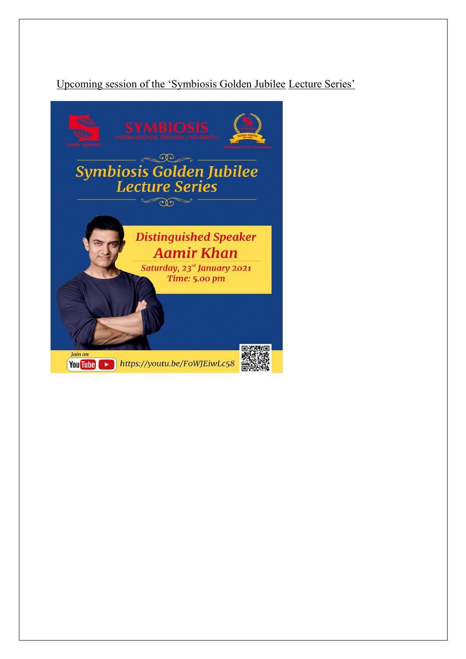## Upcoming session of the 'Symbiosis Golden Jubilee Lecture Series'